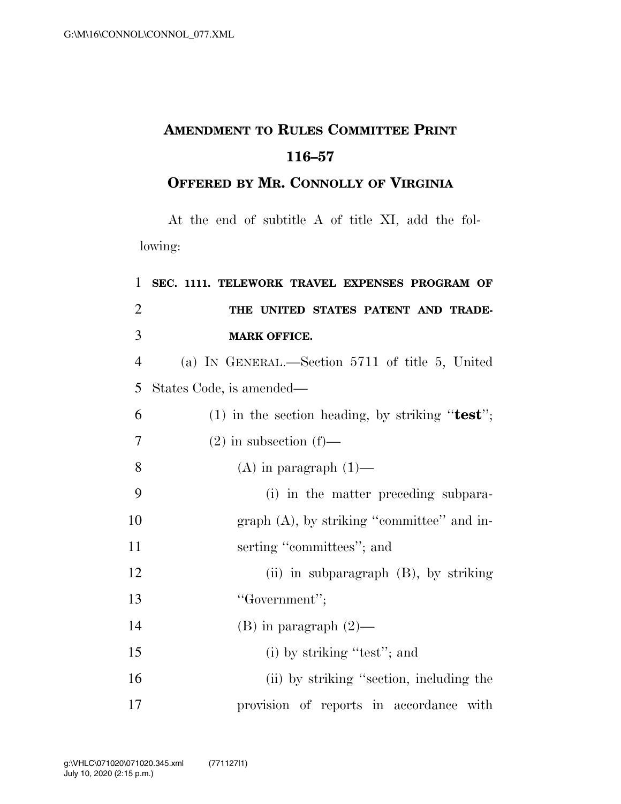## **AMENDMENT TO RULES COMMITTEE PRINT 116–57**

## **OFFERED BY MR. CONNOLLY OF VIRGINIA**

At the end of subtitle A of title XI, add the following:

| 1              | SEC. 1111. TELEWORK TRAVEL EXPENSES PROGRAM OF    |
|----------------|---------------------------------------------------|
| $\overline{2}$ | THE UNITED STATES PATENT AND TRADE-               |
| 3              | <b>MARK OFFICE.</b>                               |
| $\overline{4}$ | (a) IN GENERAL.—Section $5711$ of title 5, United |
| 5              | States Code, is amended—                          |
| 6              | (1) in the section heading, by striking "test";   |
| $\tau$         | $(2)$ in subsection $(f)$ —                       |
| 8              | $(A)$ in paragraph $(1)$ —                        |
| 9              | (i) in the matter preceding subpara-              |
| 10             | graph $(A)$ , by striking "committee" and in-     |
| 11             | serting "committees"; and                         |
| 12             | (ii) in subparagraph (B), by striking             |
| 13             | "Government";                                     |
| 14             | $(B)$ in paragraph $(2)$ —                        |
| 15             | (i) by striking "test"; and                       |
| 16             | (ii) by striking "section, including the          |
| 17             | provision of reports in accordance with           |